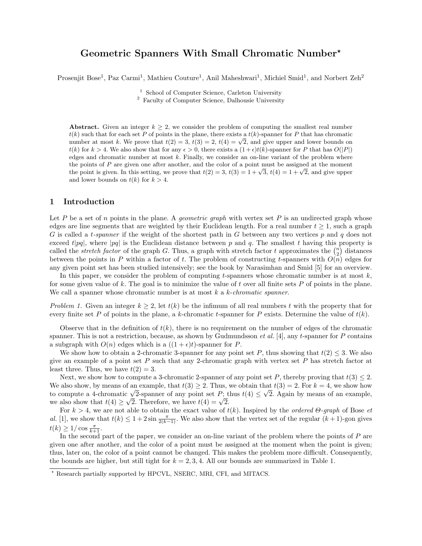# Geometric Spanners With Small Chromatic Number?

Prosenjit Bose<sup>1</sup>, Paz Carmi<sup>1</sup>, Mathieu Couture<sup>1</sup>, Anil Maheshwari<sup>1</sup>, Michiel Smid<sup>1</sup>, and Norbert Zeh<sup>2</sup>

<sup>1</sup> School of Computer Science, Carleton University

<sup>2</sup> Faculty of Computer Science, Dalhousie University

Abstract. Given an integer  $k \geq 2$ , we consider the problem of computing the smallest real number  $t(k)$  such that for each set P of points in the plane, there exists a  $t(k)$ -spanner for P that has chromatic  $u(k)$  such that for each set P of points in the plane, there exists a  $u(k)$ -spanner for P that has chromatic number at most k. We prove that  $t(2) = 3$ ,  $t(3) = 2$ ,  $t(4) = \sqrt{2}$ , and give upper and lower bounds on  $t(k)$  for  $k > 4$ . We also show that for any  $\epsilon > 0$ , there exists a  $(1+\epsilon)t(k)$ -spanner for P that has  $O(|P|)$ edges and chromatic number at most  $k$ . Finally, we consider an on-line variant of the problem where the points of P are given one after another, and the color of a point must be assigned at the moment the points of P are given one after another, and the color of a point must be assigned at the moment<br>the point is given. In this setting, we prove that  $t(2) = 3$ ,  $t(3) = 1 + \sqrt{3}$ ,  $t(4) = 1 + \sqrt{2}$ , and give upper and lower bounds on  $t(k)$  for  $k > 4$ .

## 1 Introduction

Let P be a set of n points in the plane. A *geometric graph* with vertex set P is an undirected graph whose edges are line segments that are weighted by their Euclidean length. For a real number  $t \geq 1$ , such a graph G is called a *t-spanner* if the weight of the shortest path in G between any two vertices p and q does not exceed t|pq|, where |pq| is the Euclidean distance between p and q. The smallest t having this property is called the *stretch factor* of the graph G. Thus, a graph with stretch factor t approximates the  $\binom{n}{2}$  distances between the points in P within a factor of t. The problem of constructing t-spanners with  $O(n)$  edges for any given point set has been studied intensively; see the book by Narasimhan and Smid [5] for an overview.

In this paper, we consider the problem of computing t-spanners whose chromatic number is at most  $k$ , for some given value of k. The goal is to minimize the value of t over all finite sets  $P$  of points in the plane. We call a spanner whose chromatic number is at most  $k$  a k-chromatic spanner.

Problem 1. Given an integer  $k \geq 2$ , let  $t(k)$  be the infimum of all real numbers t with the property that for every finite set P of points in the plane, a k-chromatic t-spanner for P exists. Determine the value of  $t(k)$ .

Observe that in the definition of  $t(k)$ , there is no requirement on the number of edges of the chromatic spanner. This is not a restriction, because, as shown by Gudmundsson *et al.* [4], any t-spanner for P contains a subgraph with  $O(n)$  edges which is a  $((1 + \epsilon)t)$ -spanner for P.

We show how to obtain a 2-chromatic 3-spanner for any point set P, thus showing that  $t(2) \leq 3$ . We also give an example of a point set  $P$  such that any 2-chromatic graph with vertex set  $P$  has stretch factor at least three. Thus, we have  $t(2) = 3$ .

Next, we show how to compute a 3-chromatic 2-spanner of any point set P, thereby proving that  $t(3) \leq 2$ . We also show, by means of an example, that  $t(3) \geq 2$ . Thus, we obtain that  $t(3) = 2$ . For  $k = 4$ , we show how We also show, by means of an example, that  $t(s) \ge 2$ . Thus, we obtain that  $t(s) = 2$ . For  $\kappa = 4$ , we show how<br>to compute a 4-chromatic  $\sqrt{2}$ -spanner of any point set P; thus  $t(4) \le \sqrt{2}$ . Again by means of an example, to compute a 4-chromatic  $\sqrt{2}$ -spanner or any point set  $P$ ; t<br>we also show that  $t(4) \geq \sqrt{2}$ . Therefore, we have  $t(4) = \sqrt{2}$ .

For  $k > 4$ , we are not able to obtain the exact value of  $t(k)$ . Inspired by the *ordered*  $\Theta$ *-graph* of Bose *et* al. [1], we show that  $t(k) \leq 1+2\sin\frac{\pi}{2(k-1)}$ . We also show that the vertex set of the regular  $(k+1)$ -gon gives  $t(k) \ge 1/\cos \frac{\pi}{k+1}.$ 

In the second part of the paper, we consider an on-line variant of the problem where the points of P are given one after another, and the color of a point must be assigned at the moment when the point is given; thus, later on, the color of a point cannot be changed. This makes the problem more difficult. Consequently, the bounds are higher, but still tight for  $k = 2, 3, 4$ . All our bounds are summarized in Table 1.

<sup>?</sup> Research partially supported by HPCVL, NSERC, MRI, CFI, and MITACS.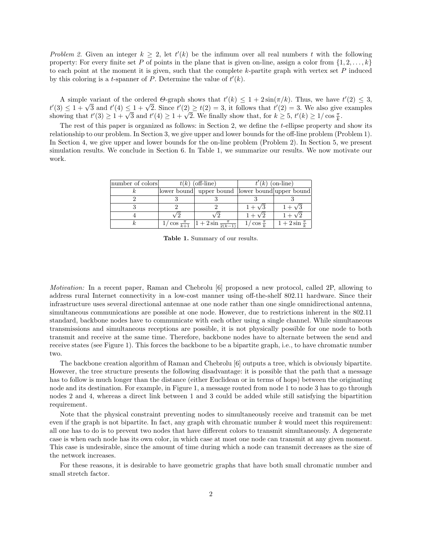Problem 2. Given an integer  $k \geq 2$ , let  $t'(k)$  be the infimum over all real numbers t with the following property: For every finite set P of points in the plane that is given on-line, assign a color from  $\{1, 2, \ldots, k\}$ to each point at the moment it is given, such that the complete  $k$ -partite graph with vertex set  $P$  induced by this coloring is a *t*-spanner of P. Determine the value of  $t'(k)$ .

A simple variant of the ordered  $\Theta$ -graph shows that  $t'(k) \leq 1 + 2\sin(\pi/k)$ . Thus, we have  $t'(2) \leq 3$ , A simple variant of the ordered  $\theta$ -graph shows that  $t(k) \leq 1 + 2\sin(\pi/k)$ . Thus, we have  $t(2) \leq 3$ ,  $t'(3) \leq 1 + \sqrt{3}$  and  $t'(4) \leq 1 + \sqrt{2}$ . Since  $t'(2) \geq t(2) = 3$ , it follows that  $t'(2) = 3$ . We also give examples  $t(3) \leq 1 + \sqrt{3}$  and  $t'(4) \leq 1 + \sqrt{2}$ . Since  $t(2) \geq t(2) = 3$ , it follows that  $t'(2) = 3$ . We also give showing that  $t'(3) \geq 1 + \sqrt{3}$  and  $t'(4) \geq 1 + \sqrt{2}$ . We finally show that, for  $k \geq 5$ ,  $t'(k) \geq 1/\cos \frac{\pi}{k}$ .

The rest of this paper is organized as follows: in Section 2, we define the t-ellipse property and show its relationship to our problem. In Section 3, we give upper and lower bounds for the off-line problem (Problem 1). In Section 4, we give upper and lower bounds for the on-line problem (Problem 2). In Section 5, we present simulation results. We conclude in Section 6. In Table 1, we summarize our results. We now motivate our work.

| number of colors | $t(k)$ (off-line) |                                                                    | $t'(k)$ (on-line)      |                          |
|------------------|-------------------|--------------------------------------------------------------------|------------------------|--------------------------|
|                  |                   | lower bound upper bound lower bound upper bound                    |                        |                          |
|                  |                   |                                                                    |                        |                          |
|                  |                   |                                                                    | $1+\sqrt{3}$           | $1+\sqrt{3}$             |
|                  |                   |                                                                    | $1 + \sqrt{2}$         | $1+\sqrt{2}$             |
|                  |                   | $1/\cos \frac{\pi}{k+1}$ $\left 1+2\sin \frac{\pi}{2(k-1)}\right $ | $1/\cos \frac{\pi}{l}$ | $1+2\sin{\frac{\pi}{k}}$ |

Table 1. Summary of our results.

Motivation: In a recent paper, Raman and Chebrolu [6] proposed a new protocol, called 2P, allowing to address rural Internet connectivity in a low-cost manner using off-the-shelf 802.11 hardware. Since their infrastructure uses several directional antennae at one node rather than one single omnidirectional antenna, simultaneous communications are possible at one node. However, due to restrictions inherent in the 802.11 standard, backbone nodes have to communicate with each other using a single channel. While simultaneous transmissions and simultaneous receptions are possible, it is not physically possible for one node to both transmit and receive at the same time. Therefore, backbone nodes have to alternate between the send and receive states (see Figure 1). This forces the backbone to be a bipartite graph, i.e., to have chromatic number two.

The backbone creation algorithm of Raman and Chebrolu [6] outputs a tree, which is obviously bipartite. However, the tree structure presents the following disadvantage: it is possible that the path that a message has to follow is much longer than the distance (either Euclidean or in terms of hops) between the originating node and its destination. For example, in Figure 1, a message routed from node 1 to node 3 has to go through nodes 2 and 4, whereas a direct link between 1 and 3 could be added while still satisfying the bipartition requirement.

Note that the physical constraint preventing nodes to simultaneously receive and transmit can be met even if the graph is not bipartite. In fact, any graph with chromatic number  $k$  would meet this requirement: all one has to do is to prevent two nodes that have different colors to transmit simultaneously. A degenerate case is when each node has its own color, in which case at most one node can transmit at any given moment. This case is undesirable, since the amount of time during which a node can transmit decreases as the size of the network increases.

For these reasons, it is desirable to have geometric graphs that have both small chromatic number and small stretch factor.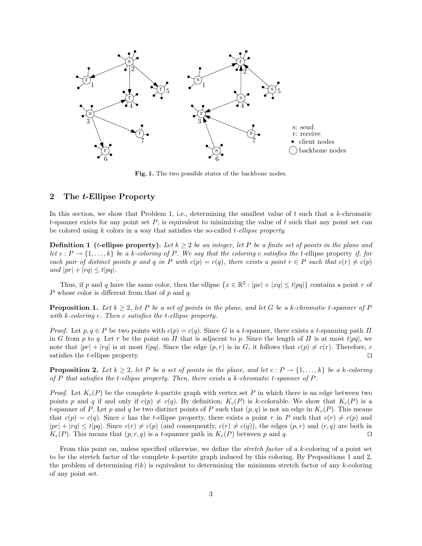

Fig. 1. The two possible states of the backbone nodes.

# 2 The t-Ellipse Property

In this section, we show that Problem 1, i.e., determining the smallest value of  $t$  such that a  $k$ -chromatic t-spanner exists for any point set  $P$ , is equivalent to minimizing the value of t such that any point set can be colored using  $k$  colors in a way that satisfies the so-called  $t$ -ellipse property.

**Definition 1** (t-ellipse property). Let  $k \geq 2$  be an integer, let P be a finite set of points in the plane and let  $c: P \to \{1,\ldots,k\}$  be a k-coloring of P. We say that the coloring c satisfies the t-ellipse property if, for each pair of distinct points p and q in P with  $c(p) = c(q)$ , there exists a point  $r \in P$  such that  $c(r) \neq c(p)$ and  $|pr| + |rq| \le t|pq|$ .

Thus, if p and q have the same color, then the ellipse  $\{x \in \mathbb{R}^2 : |px| + |xq| \le t |pq|\}$  contains a point r of P whose color is different from that of  $p$  and  $q$ .

**Proposition 1.** Let  $k \geq 2$ , let P be a set of points in the plane, and let G be a k-chromatic t-spanner of P with k-coloring c. Then c satisfies the t-ellipse property.

Proof. Let  $p, q \in P$  be two points with  $c(p) = c(q)$ . Since G is a t-spanner, there exists a t-spanning path  $\Pi$ in G from p to q. Let r be the point on  $\Pi$  that is adjacent to p. Since the length of  $\Pi$  is at most t|pq|, we note that  $|pr| + |rq|$  is at most  $t|pq|$ . Since the edge  $(p, r)$  is in G, it follows that  $c(p) \neq c(r)$ . Therefore, c satisfies the *t*-ellipse property.  $\square$ 

**Proposition 2.** Let  $k \geq 2$ , let P be a set of points in the plane, and let  $c : P \rightarrow \{1, \ldots, k\}$  be a k-coloring of P that satisfies the t-ellipse property. Then, there exists a k-chromatic t-spanner of  $P$ .

*Proof.* Let  $K_c(P)$  be the complete k-partite graph with vertex set P in which there is an edge between two points p and q if and only if  $c(p) \neq c(q)$ . By definition,  $K_c(P)$  is k-colorable. We show that  $K_c(P)$  is a t-spanner of P. Let p and q be two distinct points of P such that  $(p, q)$  is not an edge in  $K_c(P)$ . This means that  $c(p) = c(q)$ . Since c has the t-ellipse property, there exists a point r in P such that  $c(r) \neq c(p)$  and  $|pr| + |rq| \leq t|pq|$ . Since  $c(r) \neq c(p)$  (and consequently,  $c(r) \neq c(q)$ ), the edges  $(p, r)$  and  $(r, q)$  are both in  $K_c(P)$ . This means that  $(p, r, q)$  is a t-spanner path in  $K_c(P)$  between p and q.

From this point on, unless specified otherwise, we define the *stretch factor* of a k-coloring of a point set to be the stretch factor of the complete k-partite graph induced by this coloring. By Propositions 1 and 2, the problem of determining  $t(k)$  is equivalent to determining the minimum stretch factor of any k-coloring of any point set.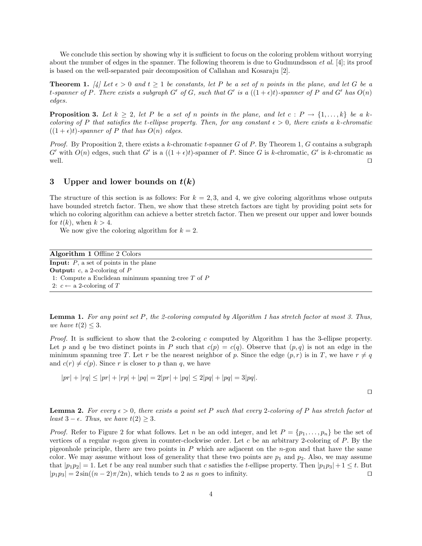We conclude this section by showing why it is sufficient to focus on the coloring problem without worrying about the number of edges in the spanner. The following theorem is due to Gudmundsson  $et al. [4]$ ; its proof is based on the well-separated pair decomposition of Callahan and Kosaraju [2].

**Theorem 1.** [4] Let  $\epsilon > 0$  and  $t \ge 1$  be constants, let P be a set of n points in the plane, and let G be a t-spanner of P. There exists a subgraph G' of G, such that G' is a  $((1 + \epsilon)t)$ -spanner of P and G' has  $O(n)$ edges.

**Proposition 3.** Let  $k \geq 2$ , let P be a set of n points in the plane, and let  $c : P \rightarrow \{1, \ldots, k\}$  be a kcoloring of P that satisfies the t-ellipse property. Then, for any constant  $\epsilon > 0$ , there exists a k-chromatic  $((1 + \epsilon)t)$ -spanner of P that has  $O(n)$  edges.

*Proof.* By Proposition 2, there exists a k-chromatic t-spanner G of P. By Theorem 1, G contains a subgraph G' with  $O(n)$  edges, such that G' is a  $((1 + \epsilon)t)$ -spanner of P. Since G is k-chromatic, G' is k-chromatic as well.  $\Box$ 

# 3 Upper and lower bounds on  $t(k)$

The structure of this section is as follows: For  $k = 2, 3$ , and 4, we give coloring algorithms whose outputs have bounded stretch factor. Then, we show that these stretch factors are tight by providing point sets for which no coloring algorithm can achieve a better stretch factor. Then we present our upper and lower bounds for  $t(k)$ , when  $k > 4$ .

We now give the coloring algorithm for  $k = 2$ .

| <b>Algorithm 1 Offline 2 Colors</b>                     |
|---------------------------------------------------------|
| <b>Input:</b> $P$ , a set of points in the plane        |
| <b>Output:</b> c, a 2-coloring of $P$                   |
| 1: Compute a Euclidean minimum spanning tree $T$ of $P$ |
| 2: $c \leftarrow a$ 2-coloring of T                     |

**Lemma 1.** For any point set P, the 2-coloring computed by Algorithm 1 has stretch factor at most 3. Thus, we have  $t(2) \leq 3$ .

Proof. It is sufficient to show that the 2-coloring c computed by Algorithm 1 has the 3-ellipse property. Let p and q be two distinct points in P such that  $c(p) = c(q)$ . Observe that  $(p, q)$  is not an edge in the minimum spanning tree T. Let r be the nearest neighbor of p. Since the edge  $(p, r)$  is in T, we have  $r \neq q$ and  $c(r) \neq c(p)$ . Since r is closer to p than q, we have

$$
|pr| + |rq| \le |pr| + |rp| + |pq| = 2|pr| + |pq| \le 2|pq| + |pq| = 3|pq|.
$$

 $\Box$ 

**Lemma 2.** For every  $\epsilon > 0$ , there exists a point set P such that every 2-coloring of P has stretch factor at least  $3 - \epsilon$ . Thus, we have  $t(2) \geq 3$ .

*Proof.* Refer to Figure 2 for what follows. Let n be an odd integer, and let  $P = \{p_1, \ldots, p_n\}$  be the set of vertices of a regular n-gon given in counter-clockwise order. Let c be an arbitrary 2-coloring of  $P$ . By the pigeonhole principle, there are two points in  $P$  which are adjacent on the  $n$ -gon and that have the same color. We may assume without loss of generality that these two points are  $p_1$  and  $p_2$ . Also, we may assume that  $|p_1p_2|=1$ . Let t be any real number such that c satisfies the t-ellipse property. Then  $|p_1p_3|+1 \le t$ . But  $|p_1p_3| = 2\sin((n-2)\pi/2n)$ , which tends to 2 as n goes to infinity.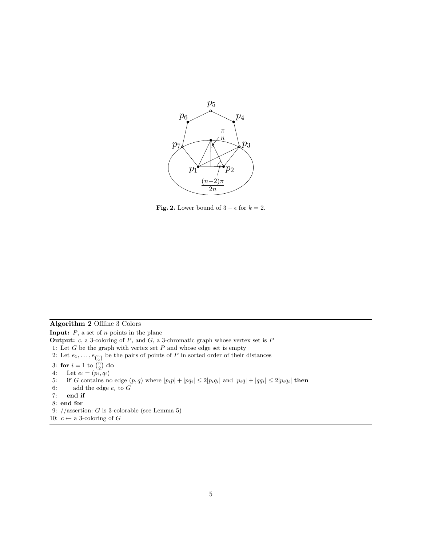

**Fig. 2.** Lower bound of  $3 - \epsilon$  for  $k = 2$ .

## Algorithm 2 Offline 3 Colors

**Input:**  $P$ , a set of  $n$  points in the plane

**Output:**  $c$ , a 3-coloring of  $P$ , and  $G$ , a 3-chromatic graph whose vertex set is  $P$ 

- 1: Let  $G$  be the graph with vertex set  $P$  and whose edge set is empty
- 2: Let  $e_1, \ldots, e_{\binom{n}{2}}$  be the pairs of points of P in sorted order of their distances
- 3: for  $i = 1$  to  $\binom{n}{2}$  do
- 4: Let  $e_i = (p_i, q_i)$
- 5: if G contains no edge  $(p, q)$  where  $|p_i p| + |p q_i| \leq 2|p_i q_i|$  and  $|p_i q| + |q q_i| \leq 2|p_i q_i|$  then
- 6: add the edge  $e_i$  to  $G$
- 7: end if
- 8: end for
- 9:  $//$ assertion: G is 3-colorable (see Lemma 5)
- 10:  $c \leftarrow$  a 3-coloring of G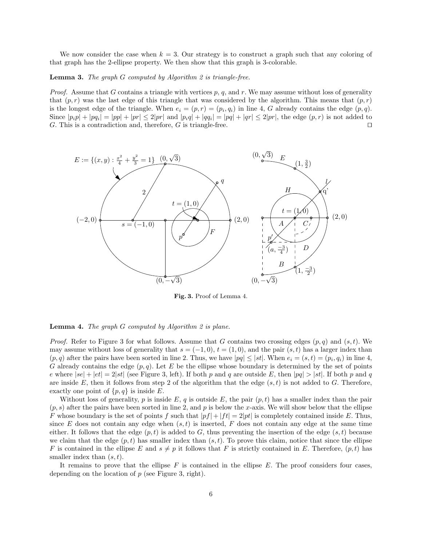We now consider the case when  $k = 3$ . Our strategy is to construct a graph such that any coloring of that graph has the 2-ellipse property. We then show that this graph is 3-colorable.

#### **Lemma 3.** The graph  $G$  computed by Algorithm 2 is triangle-free.

*Proof.* Assume that G contains a triangle with vertices p, q, and r. We may assume without loss of generality that  $(p, r)$  was the last edge of this triangle that was considered by the algorithm. This means that  $(p, r)$ is the longest edge of the triangle. When  $e_i = (p, r) = (p_i, q_i)$  in line 4, G already contains the edge  $(p, q)$ . Since  $|p_i p| + |p q_i| = |p p| + |p r| \leq 2|p r|$  and  $|p_i q| + |q q_i| = |p q| + |q r| \leq 2|p r|$ , the edge  $(p, r)$  is not added to G. This is a contradiction and, therefore, G is triangle-free.  $\Box$ 



Fig. 3. Proof of Lemma 4.

#### **Lemma 4.** The graph  $G$  computed by Algorithm 2 is plane.

*Proof.* Refer to Figure 3 for what follows. Assume that G contains two crossing edges  $(p,q)$  and  $(s,t)$ . We may assume without loss of generality that  $s = (-1, 0), t = (1, 0)$ , and the pair  $(s, t)$  has a larger index than  $(p, q)$  after the pairs have been sorted in line 2. Thus, we have  $|pq| \leq |st|$ . When  $e_i = (s, t) = (p_i, q_i)$  in line 4, G already contains the edge  $(p, q)$ . Let E be the ellipse whose boundary is determined by the set of points e where  $|se| + |et| = 2|st|$  (see Figure 3, left). If both p and q are outside E, then  $|pq| > |st|$ . If both p and q are inside E, then it follows from step 2 of the algorithm that the edge  $(s, t)$  is not added to G. Therefore, exactly one point of  $\{p,q\}$  is inside E.

Without loss of generality, p is inside E, q is outside E, the pair  $(p, t)$  has a smaller index than the pair  $(p, s)$  after the pairs have been sorted in line 2, and p is below the x-axis. We will show below that the ellipse F whose boundary is the set of points f such that  $|pf|+|ft| = 2|pt|$  is completely contained inside E. Thus, since E does not contain any edge when  $(s, t)$  is inserted, F does not contain any edge at the same time either. It follows that the edge  $(p, t)$  is added to G, thus preventing the insertion of the edge  $(s, t)$  because we claim that the edge  $(p, t)$  has smaller index than  $(s, t)$ . To prove this claim, notice that since the ellipse F is contained in the ellipse E and  $s \neq p$  it follows that F is strictly contained in E. Therefore,  $(p, t)$  has smaller index than  $(s, t)$ .

It remains to prove that the ellipse  $F$  is contained in the ellipse  $E$ . The proof considers four cases, depending on the location of  $p$  (see Figure 3, right).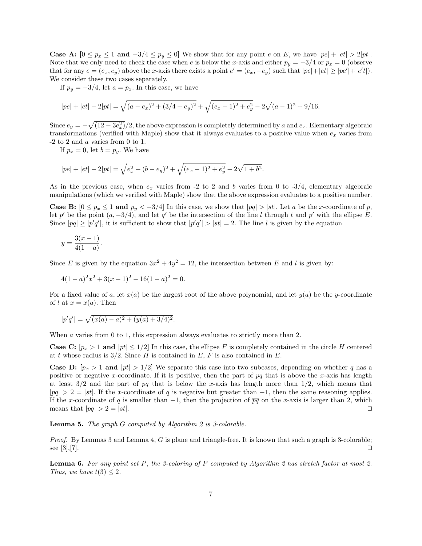**Case A:**  $[0 \leq p_x \leq 1$  and  $-3/4 \leq p_y \leq 0]$  We show that for any point e on E, we have  $|pe| + |et| > 2|pt|$ . Note that we only need to check the case when e is below the x-axis and either  $p_y = -3/4$  or  $p_x = 0$  (observe that for any  $e = (e_x, e_y)$  above the x-axis there exists a point  $e' = (e_x, -e_y)$  such that  $|pe| + |et| \ge |pe'| + |e't|$ . We consider these two cases separately.

If  $p_y = -3/4$ , let  $a = p_x$ . In this case, we have

$$
|pe| + |et| - 2|pt| = \sqrt{(a - e_x)^2 + (3/4 + e_y)^2} + \sqrt{(e_x - 1)^2 + e_y^2} - 2\sqrt{(a - 1)^2 + 9/16}.
$$

Since  $e_y = -\sqrt{(12 - 3e_x^2)}/2$ , the above expression is completely determined by a and  $e_x$ . Elementary algebraic transformations (verified with Maple) show that it always evaluates to a positive value when  $e_x$  varies from -2 to 2 and a varies from 0 to 1.

If  $p_x = 0$ , let  $b = p_y$ . We have

$$
|pe| + |et| - 2|pt| = \sqrt{e_x^2 + (b - e_y)^2} + \sqrt{(e_x - 1)^2 + e_y^2} - 2\sqrt{1 + b^2}.
$$

As in the previous case, when  $e_x$  varies from -2 to 2 and b varies from 0 to -3/4, elementary algebraic manipulations (which we verified with Maple) show that the above expression evaluates to a positive number.

**Case B:**  $[0 \leq p_x \leq 1$  and  $p_y < -3/4]$  In this case, we show that  $|pq| > |st|$ . Let a be the x-coordinate of p, let p' be the point  $(a, -3/4)$ , and let q' be the intersection of the line l through t and p' with the ellipse E. Since  $|pq| \ge |p'q'|$ , it is sufficient to show that  $|p'q'| > |st| = 2$ . The line l is given by the equation

$$
y = \frac{3(x-1)}{4(1-a)}.
$$

Since E is given by the equation  $3x^2 + 4y^2 = 12$ , the intersection between E and l is given by:

$$
4(1-a)^2x^2 + 3(x-1)^2 - 16(1-a)^2 = 0.
$$

For a fixed value of a, let  $x(a)$  be the largest root of the above polynomial, and let  $y(a)$  be the y-coordinate of l at  $x = x(a)$ . Then

$$
|p'q'| = \sqrt{(x(a) - a)^2 + (y(a) + 3/4)^2}.
$$

When a varies from 0 to 1, this expression always evaluates to strictly more than 2.

**Case C:**  $[p_x > 1$  and  $|pt| \leq 1/2$  In this case, the ellipse F is completely contained in the circle H centered at t whose radius is  $3/2$ . Since H is contained in E, F is also contained in E.

**Case D:**  $[p_x > 1$  and  $|pt| > 1/2$  We separate this case into two subcases, depending on whether q has a positive or negative x-coordinate. If it is positive, then the part of  $\overline{pq}$  that is above the x-axis has length at least 3/2 and the part of  $\overline{pq}$  that is below the x-axis has length more than 1/2, which means that  $|pq| > 2 = |st|$ . If the x-coordinate of q is negative but greater than  $-1$ , then the same reasoning applies. If the x-coordinate of q is smaller than  $-1$ , then the projection of  $\overline{pq}$  on the x-axis is larger than 2, which means that  $|pq| > 2 = |st|$ .

Lemma 5. The graph G computed by Algorithm 2 is 3-colorable.

*Proof.* By Lemmas 3 and Lemma 4, G is plane and triangle-free. It is known that such a graph is 3-colorable; see [3],[7].  $\square$ 

**Lemma 6.** For any point set P, the 3-coloring of P computed by Algorithm 2 has stretch factor at most 2. Thus, we have  $t(3) \leq 2$ .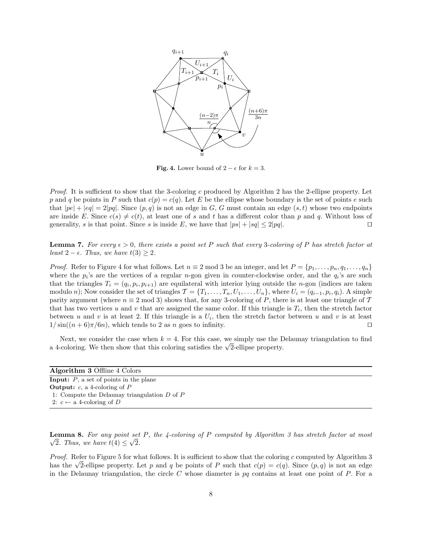

**Fig. 4.** Lower bound of  $2 - \epsilon$  for  $k = 3$ .

Proof. It is sufficient to show that the 3-coloring c produced by Algorithm 2 has the 2-ellipse property. Let p and q be points in P such that  $c(p) = c(q)$ . Let E be the ellipse whose boundary is the set of points e such that  $|pe| + |eq| = 2|pq|$ . Since  $(p, q)$  is not an edge in G, G must contain an edge  $(s, t)$  whose two endpoints are inside E. Since  $c(s) \neq c(t)$ , at least one of s and t has a different color than p and q. Without loss of generality, s is that point. Since s is inside E, we have that  $|ps| + |sq| \leq 2|pq|$ .

**Lemma 7.** For every  $\epsilon > 0$ , there exists a point set P such that every 3-coloring of P has stretch factor at least  $2 - \epsilon$ . Thus, we have  $t(3) \geq 2$ .

*Proof.* Refer to Figure 4 for what follows. Let  $n \equiv 2 \mod 3$  be an integer, and let  $P = \{p_1, \ldots, p_n, q_1, \ldots, q_n\}$ where the  $p_i$ 's are the vertices of a regular *n*-gon given in counter-clockwise order, and the  $q_i$ 's are such that the triangles  $T_i = (q_i, p_i, p_{i+1})$  are equilateral with interior lying outside the *n*-gon (indices are taken modulo n); Now consider the set of triangles  $\mathcal{T} = \{T_1, \ldots, T_n, U_1, \ldots, U_n\}$ , where  $U_i = (q_{i-1}, p_i, q_i)$ . A simple parity argument (where  $n \equiv 2 \mod 3$ ) shows that, for any 3-coloring of P, there is at least one triangle of T that has two vertices u and v that are assigned the same color. If this triangle is  $T_i$ , then the stretch factor between u and v is at least 2. If this triangle is a  $U_i$ , then the stretch factor between u and v is at least  $1/\sin((n+6)\pi/6n)$ , which tends to 2 as n goes to infinity.

Next, we consider the case when  $k = 4$ . For this case, we simply use the Delaunay triangulation to find Next, we consider the case when  $\kappa = 4$ . For this case, we simply use the L<br>a 4-coloring. We then show that this coloring satisfies the  $\sqrt{2}$ -ellipse property.

| <b>Algorithm 3 Offline 4 Colors</b>              |
|--------------------------------------------------|
| <b>Input:</b> $P$ , a set of points in the plane |
| <b>Output:</b> c, a 4-coloring of $P$            |
| 1: Compute the Delaunay triangulation $D$ of $P$ |
| 2: $c \leftarrow$ a 4-coloring of D              |

**Lemma 8.** For any point set P, the 4-coloring of P computed by Algorithm 3 has stretch factor at most 2. Thus, we have  $t(4) \leq \sqrt{2}$ .

Proof. Refer to Figure 5 for what follows. It is sufficient to show that the coloring c computed by Algorithm 3 *Proof.* Keter to Figure 5 for what follows. It is sumclent to show that the coloring c computed by Algorithm 3 has the  $\sqrt{2}$ -ellipse property. Let p and q be points of P such that  $c(p) = c(q)$ . Since  $(p, q)$  is not an edge in the Delaunay triangulation, the circle  $C$  whose diameter is  $pq$  contains at least one point of  $P$ . For a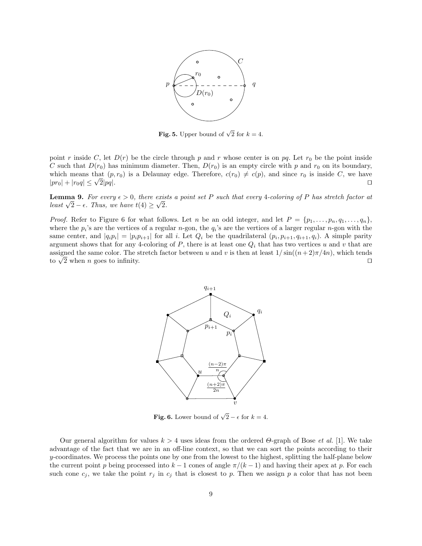

**Fig. 5.** Upper bound of  $\sqrt{2}$  for  $k = 4$ .

point r inside C, let  $D(r)$  be the circle through p and r whose center is on pq. Let  $r_0$  be the point inside C such that  $D(r_0)$  has minimum diameter. Then,  $D(r_0)$  is an empty circle with p and  $r_0$  on its boundary, which means that  $(p, r_0)$  is a Delaunay edge. Therefore,  $c(r_0) \neq c(p)$ , and since  $r_0$  is inside C, we have  $|pr_0| + |r_0q| \leq \sqrt{2}|pq|.$  $2|pq|.$ 

**Lemma 9.** For every  $\epsilon > 0$ , there exists a point set P such that every 4-coloring of P has stretch factor at **Lemma 9.** For every  $\epsilon > 0$ , there exis<br>least  $\sqrt{2} - \epsilon$ . Thus, we have  $t(4) \ge \sqrt{2}$ .

*Proof.* Refer to Figure 6 for what follows. Let n be an odd integer, and let  $P = \{p_1, \ldots, p_n, q_1, \ldots, q_n\}$ , where the  $p_i$ 's are the vertices of a regular *n*-gon, the  $q_i$ 's are the vertices of a larger regular *n*-gon with the same center, and  $|q_i p_i| = |p_i p_{i+1}|$  for all i. Let  $Q_i$  be the quadrilateral  $(p_i, p_{i+1}, q_{i+1}, q_i)$ . A simple parity argument shows that for any 4-coloring of P, there is at least one  $Q_i$  that has two vertices u and v that are assigned the same color. The stretch factor between u and v is then at least  $1/\sin((n+2)\pi/4n)$ , which tends assigned the same color. The stretch factor between u and v is then at least  $1/\sin((n+2)\pi/4n)$ , which tends to  $\sqrt{2}$  when n goes to infinity.



**Fig. 6.** Lower bound of  $\sqrt{2} - \epsilon$  for  $k = 4$ .

Our general algorithm for values  $k > 4$  uses ideas from the ordered  $\Theta$ -graph of Bose *et al.* [1]. We take advantage of the fact that we are in an off-line context, so that we can sort the points according to their y-coordinates. We process the points one by one from the lowest to the highest, splitting the half-plane below the current point p being processed into  $k-1$  cones of angle  $\pi/(k-1)$  and having their apex at p. For each such cone  $c_j$ , we take the point  $r_j$  in  $c_j$  that is closest to p. Then we assign p a color that has not been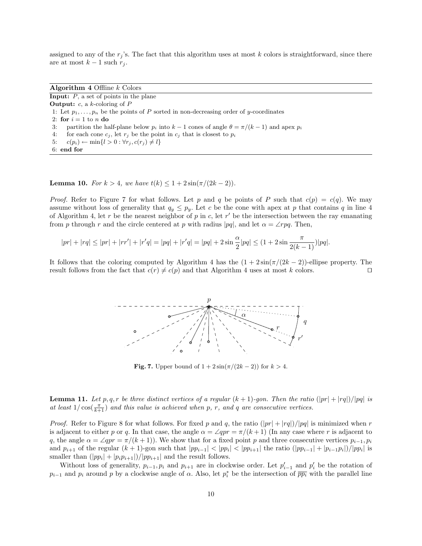assigned to any of the  $r_j$ 's. The fact that this algorithm uses at most k colors is straightforward, since there are at most  $k-1$  such  $r_j$ .

Algorithm  $4$  Offline  $k$  Colors **Input:**  $P$ , a set of points in the plane **Output:**  $c$ , a  $k$ -coloring of  $P$ 1: Let  $p_1, \ldots, p_n$  be the points of P sorted in non-decreasing order of y-coordinates 2: for  $i = 1$  to n do 3: partition the half-plane below  $p_i$  into  $k-1$  cones of angle  $\theta = \pi/(k-1)$  and apex  $p_i$ 4: for each cone  $c_i$ , let  $r_i$  be the point in  $c_i$  that is closest to  $p_i$ 5:  $c(p_i) \leftarrow \min\{l > 0 : \forall r_j, c(r_j) \neq l\}$ 6: end for

**Lemma 10.** For  $k > 4$ , we have  $t(k) \leq 1 + 2\sin(\pi/(2k-2))$ .

*Proof.* Refer to Figure 7 for what follows. Let p and q be points of P such that  $c(p) = c(q)$ . We may assume without loss of generality that  $q_y \leq p_y$ . Let c be the cone with apex at p that contains q in line 4 of Algorithm 4, let r be the nearest neighbor of p in c, let r' be the intersection between the ray emanating from p through r and the circle centered at p with radius  $|pq|$ , and let  $\alpha = \angle rp$ . Then,

$$
|pr| + |rq| \le |pr| + |rr'| + |r'q| = |pq| + |r'q| = |pq| + 2\sin\frac{\alpha}{2}|pq| \le (1 + 2\sin\frac{\pi}{2(k-1)})|pq|.
$$

It follows that the coloring computed by Algorithm 4 has the  $(1 + 2\sin(\pi/(2k-2))$ -ellipse property. The result follows from the fact that  $c(r) \neq c(p)$  and that Algorithm 4 uses at most k colors.



Fig. 7. Upper bound of  $1 + 2\sin(\pi/(2k-2))$  for  $k > 4$ .

**Lemma 11.** Let p, q, r be three distinct vertices of a regular  $(k + 1)$ -gon. Then the ratio  $(|pr| + |rq|)/|pq|$  is at least  $1/\cos(\frac{\pi}{k+1})$  and this value is achieved when p, r, and q are consecutive vertices.

*Proof.* Refer to Figure 8 for what follows. For fixed p and q, the ratio  $(|pr| + |rq|)/|pq|$  is minimized when r is adjacent to either p or q. In that case, the angle  $\alpha = \angle qpr = \pi/(k+1)$  (In any case where r is adjacent to q, the angle  $\alpha = \angle qpr = \pi/(k+1)$ . We show that for a fixed point p and three consecutive vertices  $p_{i-1}, p_i$ and  $p_{i+1}$  of the regular  $(k+1)$ -gon such that  $|pp_{i-1}| < |pp_i| < |pp_{i+1}|$  the ratio  $(|pp_{i-1}| + |p_{i-1}p_i|)/|pp_i|$  is smaller than  $(|pp_i| + |p_i p_{i+1}|)/|pp_{i+1}|$  and the result follows.

Without loss of generality,  $p_{i-1}, p_i$  and  $p_{i+1}$  are in clockwise order. Let  $p'_{i-1}$  and  $p'_i$  be the rotation of  $p_{i-1}$  and  $p_i$  around p by a clockwise angle of  $\alpha$ . Also, let  $p_i^*$  be the intersection of  $\overline{pp_i}$  with the parallel line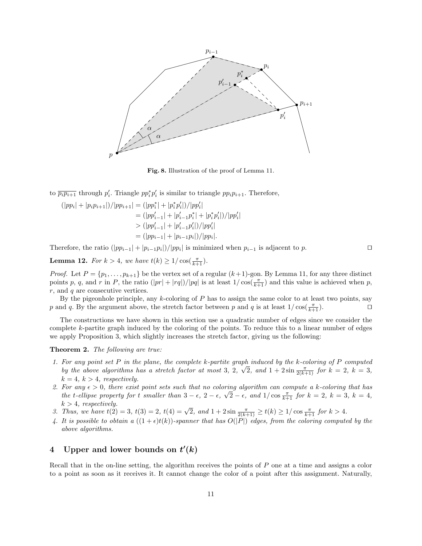

Fig. 8. Illustration of the proof of Lemma 11.

to  $\overline{p_i p_{i+1}}$  through  $p'_i$ . Triangle  $p p_i^* p'_i$  is similar to triangle  $p p_i p_{i+1}$ . Therefore,

$$
(|pp_i| + |p_i p_{i+1}|)/|pp_{i+1}| = (|pp_i^*| + |p_i^* p_i'|)/|pp_i'|
$$
  
= 
$$
(|pp_{i-1}'| + |p_{i-1}'p_i^*| + |p_i^* p_i'|)/|pp_i'|
$$
  
> 
$$
(|pp_{i-1}'| + |p_{i-1}'p_i'|)/|pp_i'|
$$
  
= 
$$
(|pp_{i-1}| + |p_{i-1}p_i|)/|pp_i|
$$
.

Therefore, the ratio  $(|pp_{i-1}| + |p_{i-1}p_i|)/|pp_i|$  is minimized when  $p_{i-1}$  is adjacent to p.

**Lemma 12.** For  $k > 4$ , we have  $t(k) \ge 1/\cos(\frac{\pi}{k+1})$ .

*Proof.* Let  $P = \{p_1, \ldots, p_{k+1}\}$  be the vertex set of a regular  $(k+1)$ -gon. By Lemma 11, for any three distinct points p, q, and r in P, the ratio  $(|pr| + |rq|)/|pq|$  is at least  $1/\cos(\frac{\pi}{k+1})$  and this value is achieved when p,  $r$ , and  $q$  are consecutive vertices.

By the pigeonhole principle, any  $k$ -coloring of  $P$  has to assign the same color to at least two points, say p and q. By the argument above, the stretch factor between p and q is at least  $1/\cos(\frac{\pi}{k+1})$ .

The constructions we have shown in this section use a quadratic number of edges since we consider the complete k-partite graph induced by the coloring of the points. To reduce this to a linear number of edges we apply Proposition 3, which slightly increases the stretch factor, giving us the following:

Theorem 2. The following are true:

- 1. For any point set P in the plane, the complete k-partite graph induced by the k-coloring of P computed by the above algorithms has a stretch factor at most 3, 2,  $\sqrt{2}$ , and  $1 + 2\sin \frac{\pi}{2(k+1)}$  for  $k = 2$ ,  $k = 3$ ,  $k = 4, k > 4, respectively.$
- 2. For any  $\epsilon > 0$ , there exist point sets such that no coloring algorithm can compute a k-coloring that has the t-ellipse property for t smaller than  $3 - \epsilon$ ,  $2 - \epsilon$ ,  $\sqrt{2} - \epsilon$ , and  $1/\cos \frac{\pi}{k+1}$  for  $k = 2$ ,  $k = 3$ ,  $k = 4$ ,  $k > 4$ , respectively.
- *k* > 4, respectively.<br>
3. Thus, we have  $t(2) = 3$ ,  $t(3) = 2$ ,  $t(4) = \sqrt{2}$ , and  $1 + 2\sin \frac{\pi}{2(k+1)} \ge t(k) \ge 1/\cos \frac{\pi}{k+1}$  for  $k > 4$ .
- 4. It is possible to obtain a  $((1+\epsilon)t(k))$ -spanner that has  $O(|P|)$  edges, from the coloring computed by the above algorithms.

# 4 Upper and lower bounds on  $t'(k)$

Recall that in the on-line setting, the algorithm receives the points of  $P$  one at a time and assigns a color to a point as soon as it receives it. It cannot change the color of a point after this assignment. Naturally,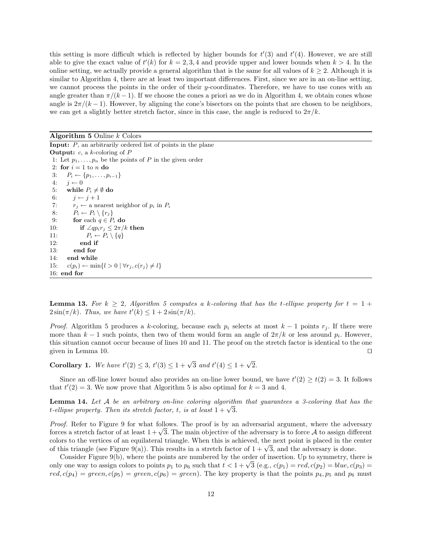this setting is more difficult which is reflected by higher bounds for  $t'(3)$  and  $t'(4)$ . However, we are still able to give the exact value of  $t'(k)$  for  $k = 2, 3, 4$  and provide upper and lower bounds when  $k > 4$ . In the online setting, we actually provide a general algorithm that is the same for all values of  $k \geq 2$ . Although it is similar to Algorithm 4, there are at least two important differences. First, since we are in an on-line setting, we cannot process the points in the order of their y-coordinates. Therefore, we have to use cones with an angle greater than  $\pi/(k-1)$ . If we choose the cones a priori as we do in Algorithm 4, we obtain cones whose angle is  $2\pi/(k-1)$ . However, by aligning the cone's bisectors on the points that are chosen to be neighbors, we can get a slightly better stretch factor, since in this case, the angle is reduced to  $2\pi/k$ .

Algorithm  $5$  Online  $k$  Colors

**Input:**  $P$ , an arbitrarily ordered list of points in the plane **Output:**  $c$ , a  $k$ -coloring of  $P$ 1: Let  $p_1, \ldots, p_n$  be the points of P in the given order 2: for  $i = 1$  to n do 3:  $P_i \leftarrow \{p_1, \ldots, p_{i-1}\}$ 4:  $j \leftarrow 0$ 5: while  $P_i \neq \emptyset$  do 6:  $j \leftarrow j+1$ 7:  $r_j \leftarrow$  a nearest neighbor of  $p_i$  in  $P_i$ 8:  $P_i \leftarrow P_i \setminus \{r_j\}$ 9: for each  $q \in P_i$  do 10: **if**  $\angle qp_ir_j \leq 2\pi/k$  then 11:  $P_i \leftarrow P_i \setminus \{q\}$ 12: end if 13: end for 14: end while 15:  $c(p_i) \leftarrow \min\{l > 0 \mid \forall r_j, c(r_j) \neq l\}$ 16: end for

**Lemma 13.** For  $k \geq 2$ , Algorithm 5 computes a k-coloring that has the t-ellipse property for  $t = 1 +$  $2\sin(\pi/k)$ . Thus, we have  $t'(k) \leq 1 + 2\sin(\pi/k)$ .

*Proof.* Algorithm 5 produces a k-coloring, because each  $p_i$  selects at most  $k-1$  points  $r_j$ . If there were more than  $k-1$  such points, then two of them would form an angle of  $2\pi/k$  or less around  $p_i$ . However, this situation cannot occur because of lines 10 and 11. The proof on the stretch factor is identical to the one given in Lemma 10.  $\Box$ 

Corollary 1. We have  $t'(2) \leq 3$ ,  $t'(3) \leq 1 + \sqrt{3}$  and  $t'(4) \leq 1 + \sqrt{2}$ .

Since an off-line lower bound also provides an on-line lower bound, we have  $t'(2) \geq t(2) = 3$ . It follows that  $t'(2) = 3$ . We now prove that Algorithm 5 is also optimal for  $k = 3$  and 4.

**Lemma 14.** Let  $A$  be an arbitrary on-line coloring algorithm that guarantees a 3-coloring that has the **Lemma 14.** Let A be an arourary on-une coloring algorithmetrically be estimated. Then its stretch factor, t, is at least  $1 + \sqrt{3}$ .

Proof. Refer to Figure 9 for what follows. The proof is by an adversarial argument, where the adversary *Froof.* Keter to Figure 9 for what follows. The proof is by an adversarial argument, where the adversary forces a stretch factor of at least  $1 + \sqrt{3}$ . The main objective of the adversary is to force A to assign differen colors to the vertices of an equilateral triangle. When this is achieved, the next point is placed in the center colors to the vertices of an equilateral triangle. When this is achieved, the next point is placed in the c<br>of this triangle (see Figure 9(a)). This results in a stretch factor of  $1 + \sqrt{3}$ , and the adversary is done.

Consider Figure 9(b), where the points are numbered by the order of insertion. Up to symmetry, there is Consider Figure 9(b), where the points are numbered by the order of insertion. Up to symmetry, there is only one way to assign colors to points  $p_1$  to  $p_6$  such that  $t < 1 + \sqrt{3}$  (e.g.,  $c(p_1) = red, c(p_2) = blue, c(p_3) =$  $red, c(p_4) = green, c(p_5) = green, c(p_6) = green$ . The key property is that the points  $p_4, p_5$  and  $p_6$  must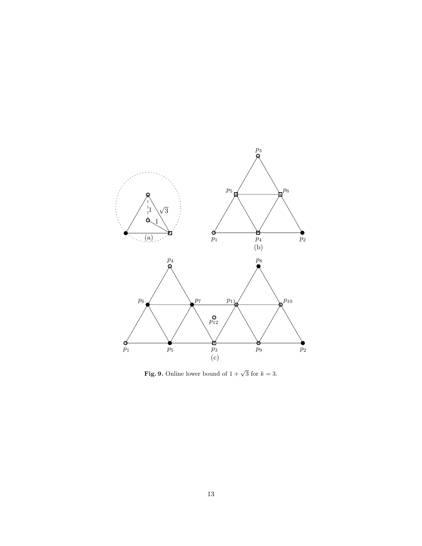

**Fig. 9.** Online lower bound of  $1 + \sqrt{3}$  for  $k = 3$ .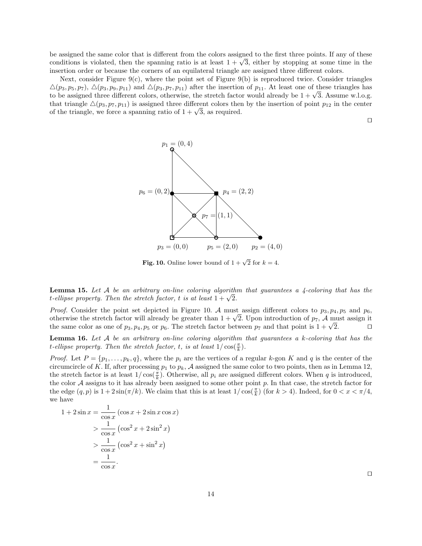be assigned the same color that is different from the colors assigned to the first three points. If any of these be assigned the same color that is different from the colors assigned to the first three points. If any of these conditions is violated, then the spanning ratio is at least  $1 + \sqrt{3}$ , either by stopping at some time in th insertion order or because the corners of an equilateral triangle are assigned three different colors.

Next, consider Figure  $9(c)$ , where the point set of Figure  $9(b)$  is reproduced twice. Consider triangles  $\Delta(p_3, p_5, p_7), \Delta(p_3, p_9, p_{11})$  and  $\Delta(p_3, p_7, p_{11})$  after the insertion of  $p_{11}$ . At least one of these triangles has  $\triangle(p_3, p_5, p_7)$ ,  $\triangle(p_3, p_9, p_{11})$  and  $\triangle(p_3, p_7, p_{11})$  after the insertion of  $p_{11}$ . At least one of these triangles has<br>to be assigned three different colors, otherwise, the stretch factor would already be  $1 + \sqrt{3}$ that triangle  $\Delta(p_3, p_7, p_{11})$  is assigned three different colors then by the insertion of point  $p_{12}$  in the center that triangle  $\triangle (p_3, p_7, p_{11})$  is assigned three different colors thereof the triangle, we force a spanning ratio of  $1 + \sqrt{3}$ , as required.

$$
\Box
$$



**Fig. 10.** Online lower bound of  $1 + \sqrt{2}$  for  $k = 4$ .

**Lemma 15.** Let A be an arbitrary on-line coloring algorithm that guarantees a  $\frac{1}{4}$ -coloring that has the **Lemma 15.** Let A be an arourary on-une coloring algorith t-ellipse property. Then the stretch factor, t is at least  $1 + \sqrt{2}$ .

*Proof.* Consider the point set depicted in Figure 10. A must assign different colors to  $p_3$ ,  $p_4$ ,  $p_5$  and  $p_6$ , *Proof.* Consider the point set depicted in Figure 10. A must assign different colors to  $p_3, p_4, p_5$  and  $p_6$ , otherwise the stretch factor will already be greater than  $1 + \sqrt{2}$ . Upon introduction of  $p_7$ , A must ass otherwise the stretch factor will already be greater than  $1 + \sqrt{2}$ . Upon introduction of  $p_7$ , A must assign it the same color as one of  $p_3$ ,  $p_4$ ,  $p_5$  or  $p_6$ . The stretch factor between  $p_7$  and that point is

**Lemma 16.** Let A be an arbitrary on-line coloring algorithm that guarantees a k-coloring that has the t-ellipse property. Then the stretch factor, t, is at least  $1/\cos(\frac{\pi}{k})$ .

*Proof.* Let  $P = \{p_1, \ldots, p_k, q\}$ , where the  $p_i$  are the vertices of a regular k-gon K and q is the center of the circumcircle of K. If, after processing  $p_1$  to  $p_k$ , A assigned the same color to two points, then as in Lemma 12, the stretch factor is at least  $1/\cos(\frac{\pi}{k})$ . Otherwise, all  $p_i$  are assigned different colors. When q is introduced, the color  $A$  assigns to it has already been assigned to some other point  $p$ . In that case, the stretch factor for the edge  $(q, p)$  is  $1 + 2\sin(\pi/k)$ . We claim that this is at least  $1/\cos(\frac{\pi}{k})$  (for  $k > 4$ ). Indeed, for  $0 < x < \pi/4$ , we have

$$
1 + 2\sin x = \frac{1}{\cos x} (\cos x + 2\sin x \cos x)
$$
  
> 
$$
\frac{1}{\cos x} (\cos^2 x + 2\sin^2 x)
$$
  
> 
$$
\frac{1}{\cos x} (\cos^2 x + \sin^2 x)
$$
  
= 
$$
\frac{1}{\cos x}.
$$

 $\Box$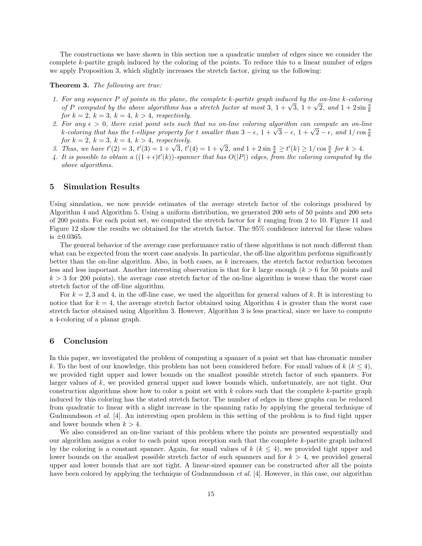The constructions we have shown in this section use a quadratic number of edges since we consider the complete k-partite graph induced by the coloring of the points. To reduce this to a linear number of edges we apply Proposition 3, which slightly increases the stretch factor, giving us the following:

#### Theorem 3. The following are true:

- 1. For any sequence P of points in the plane, the complete k-partite graph induced by the on-line k-coloring For any sequence P of points in the plane, the complete  $\kappa$ -partite graph induced by the on-line  $\kappa$ -coloring  $\frac{\kappa}{\kappa}$  of P computed by the above algorithms has a stretch factor at most 3,  $1 + \sqrt{3}$ ,  $1 + \sqrt{2}$ , an for  $k = 2$ ,  $k = 3$ ,  $k = 4$ ,  $k > 4$ , respectively.
- 2. For any  $\epsilon > 0$ , there exist point sets such that no on-line coloring algorithm can compute an on-line *For any* ε > 0, there exist point sets such that no on-tine coloring algorithm can compute an on-tine<br>k-coloring that has the t-ellipse property for t smaller than 3 − ε, 1 +  $\sqrt{3}$  − ε, 1 +  $\sqrt{2}$  − ε, and 1/cos  $\$ for  $k = 2$ ,  $k = 3$ ,  $k = 4$ ,  $k > 4$ , respectively.
- for  $k = 2$ ,  $k = 3$ ,  $k = 4$ ,  $k > 4$ , respectively.<br>
3. Thus, we have  $t'(2) = 3$ ,  $t'(3) = 1 + \sqrt{3}$ ,  $t'(4) = 1 + \sqrt{2}$ , and  $1 + 2 \sin \frac{\pi}{k} \ge t'(k) \ge 1/\cos \frac{\pi}{k}$  for  $k > 4$ .
- 4. It is possible to obtain a  $((1+\epsilon)t'(k))$ -spanner that has  $O(|P|)$  edges, from the coloring computed by the above algorithms.

### 5 Simulation Results

Using simulation, we now provide estimates of the average stretch factor of the colorings produced by Algorithm 4 and Algorithm 5. Using a uniform distribution, we generated 200 sets of 50 points and 200 sets of 200 points. For each point set, we computed the stretch factor for k ranging from 2 to 10. Figure 11 and Figure 12 show the results we obtained for the stretch factor. The 95% confidence interval for these values is  $\pm 0.0365$ .

The general behavior of the average case performance ratio of these algorithms is not much different than what can be expected from the worst case analysis. In particular, the off-line algorithm performs significantly better than the on-line algorithm. Also, in both cases, as  $k$  increases, the stretch factor reduction becomes less and less important. Another interesting observation is that for k large enough  $(k > 6$  for 50 points and  $k > 3$  for 200 points), the average case stretch factor of the on-line algorithm is worse than the worst case stretch factor of the off-line algorithm.

For  $k = 2, 3$  and 4, in the off-line case, we used the algorithm for general values of k. It is interesting to notice that for  $k = 4$ , the average stretch factor obtained using Algorithm 4 is greater than the worst case stretch factor obtained using Algorithm 3. However, Algorithm 3 is less practical, since we have to compute a 4-coloring of a planar graph.

### 6 Conclusion

In this paper, we investigated the problem of computing a spanner of a point set that has chromatic number k. To the best of our knowledge, this problem has not been considered before. For small values of  $k$  ( $k \leq 4$ ), we provided tight upper and lower bounds on the smallest possible stretch factor of such spanners. For larger values of  $k$ , we provided general upper and lower bounds which, unfortunately, are not tight. Our construction algorithms show how to color a point set with  $k$  colors such that the complete  $k$ -partite graph induced by this coloring has the stated stretch factor. The number of edges in these graphs can be reduced from quadratic to linear with a slight increase in the spanning ratio by applying the general technique of Gudmundsson et al. [4]. An interesting open problem in this setting of the problem is to find tight upper and lower bounds when  $k > 4$ .

We also considered an on-line variant of this problem where the points are presented sequentially and our algorithm assigns a color to each point upon reception such that the complete k-partite graph induced by the coloring is a constant spanner. Again, for small values of  $k$  ( $k \leq 4$ ), we provided tight upper and lower bounds on the smallest possible stretch factor of such spanners and for  $k > 4$ , we provided general upper and lower bounds that are not tight. A linear-sized spanner can be constructed after all the points have been colored by applying the technique of Gudmundsson *et al.* [4]. However, in this case, our algorithm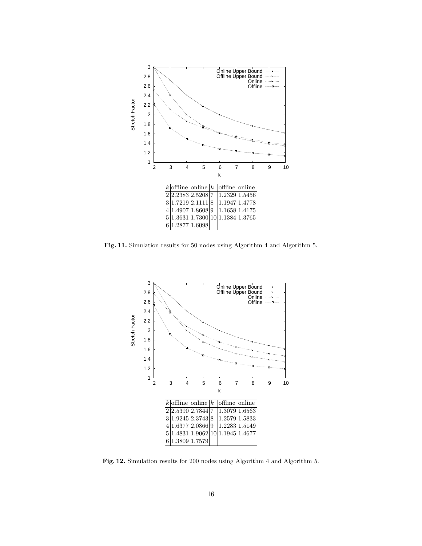

Fig. 11. Simulation results for 50 nodes using Algorithm 4 and Algorithm 5.



Fig. 12. Simulation results for 200 nodes using Algorithm 4 and Algorithm 5.